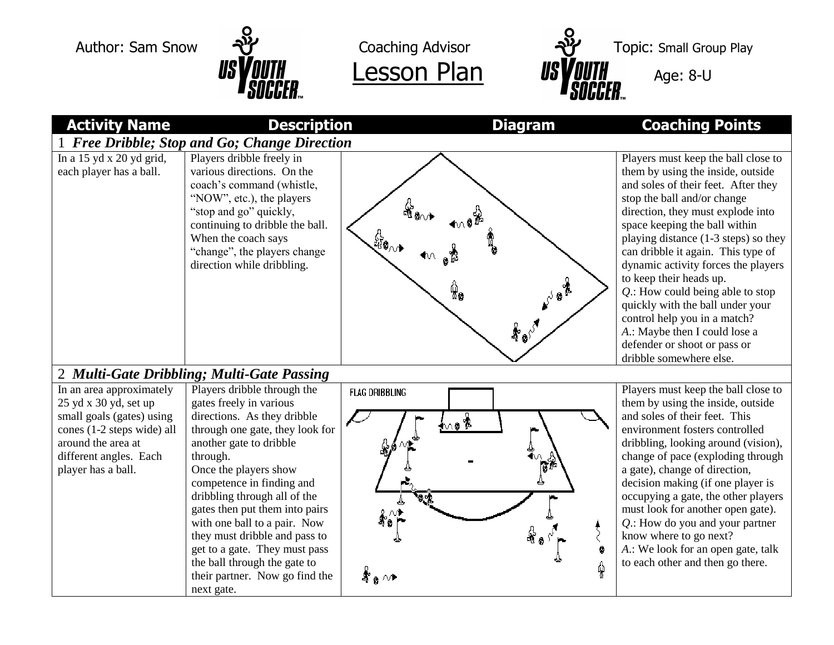



| <b>Activity Name</b>                                                                                                                                                               | <b>Description</b>                                                                                                                                                                                                                                                                                                                                                                                                                                                        | <b>Diagram</b>                                      | <b>Coaching Points</b>                                                                                                                                                                                                                                                                                                                                                                                                                                                                                                                                                      |  |  |
|------------------------------------------------------------------------------------------------------------------------------------------------------------------------------------|---------------------------------------------------------------------------------------------------------------------------------------------------------------------------------------------------------------------------------------------------------------------------------------------------------------------------------------------------------------------------------------------------------------------------------------------------------------------------|-----------------------------------------------------|-----------------------------------------------------------------------------------------------------------------------------------------------------------------------------------------------------------------------------------------------------------------------------------------------------------------------------------------------------------------------------------------------------------------------------------------------------------------------------------------------------------------------------------------------------------------------------|--|--|
| 1 Free Dribble; Stop and Go; Change Direction                                                                                                                                      |                                                                                                                                                                                                                                                                                                                                                                                                                                                                           |                                                     |                                                                                                                                                                                                                                                                                                                                                                                                                                                                                                                                                                             |  |  |
| In a $15$ yd x $20$ yd grid,<br>each player has a ball.                                                                                                                            | Players dribble freely in<br>various directions. On the<br>coach's command (whistle,<br>"NOW", etc.), the players<br>"stop and go" quickly,<br>continuing to dribble the ball.<br>When the coach says<br>"change", the players change<br>direction while dribbling.                                                                                                                                                                                                       | ๚ํ๏๎๛<br>Ŵ.<br>க்∘்                                 | Players must keep the ball close to<br>them by using the inside, outside<br>and soles of their feet. After they<br>stop the ball and/or change<br>direction, they must explode into<br>space keeping the ball within<br>playing distance (1-3 steps) so they<br>can dribble it again. This type of<br>dynamic activity forces the players<br>to keep their heads up.<br>$Q$ .: How could being able to stop<br>quickly with the ball under your<br>control help you in a match?<br>A.: Maybe then I could lose a<br>defender or shoot or pass or<br>dribble somewhere else. |  |  |
| 2 Multi-Gate Dribbling; Multi-Gate Passing                                                                                                                                         |                                                                                                                                                                                                                                                                                                                                                                                                                                                                           |                                                     |                                                                                                                                                                                                                                                                                                                                                                                                                                                                                                                                                                             |  |  |
| In an area approximately<br>25 yd x 30 yd, set up<br>small goals (gates) using<br>cones (1-2 steps wide) all<br>around the area at<br>different angles. Each<br>player has a ball. | Players dribble through the<br>gates freely in various<br>directions. As they dribble<br>through one gate, they look for<br>another gate to dribble<br>through.<br>Once the players show<br>competence in finding and<br>dribbling through all of the<br>gates then put them into pairs<br>with one ball to a pair. Now<br>they must dribble and pass to<br>get to a gate. They must pass<br>the ball through the gate to<br>their partner. Now go find the<br>next gate. | <b>FLAG DRIBBLING</b><br><u>not</u><br>4.<br>சீஓ ∧+ | Players must keep the ball close to<br>them by using the inside, outside<br>and soles of their feet. This<br>environment fosters controlled<br>dribbling, looking around (vision),<br>change of pace (exploding through<br>a gate), change of direction,<br>decision making (if one player is<br>occupying a gate, the other players<br>must look for another open gate).<br>$Q$ .: How do you and your partner<br>know where to go next?<br>A.: We look for an open gate, talk<br>0<br>to each other and then go there.<br>Ŷ                                               |  |  |